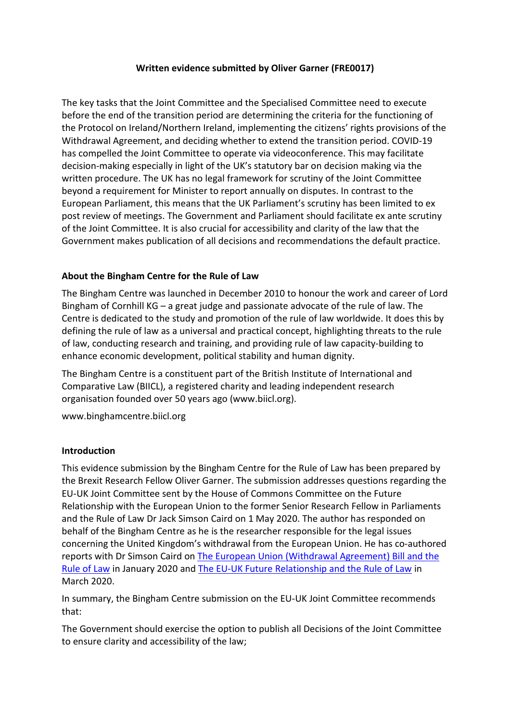## **Written evidence submitted by Oliver Garner (FRE0017)**

The key tasks that the Joint Committee and the Specialised Committee need to execute before the end of the transition period are determining the criteria for the functioning of the Protocol on Ireland/Northern Ireland, implementing the citizens' rights provisions of the Withdrawal Agreement, and deciding whether to extend the transition period. COVID-19 has compelled the Joint Committee to operate via videoconference. This may facilitate decision-making especially in light of the UK's statutory bar on decision making via the written procedure. The UK has no legal framework for scrutiny of the Joint Committee beyond a requirement for Minister to report annually on disputes. In contrast to the European Parliament, this means that the UK Parliament's scrutiny has been limited to ex post review of meetings. The Government and Parliament should facilitate ex ante scrutiny of the Joint Committee. It is also crucial for accessibility and clarity of the law that the Government makes publication of all decisions and recommendations the default practice.

## **About the Bingham Centre for the Rule of Law**

The Bingham Centre was launched in December 2010 to honour the work and career of Lord Bingham of Cornhill KG – a great judge and passionate advocate of the rule of law. The Centre is dedicated to the study and promotion of the rule of law worldwide. It does this by defining the rule of law as a universal and practical concept, highlighting threats to the rule of law, conducting research and training, and providing rule of law capacity-building to enhance economic development, political stability and human dignity.

The Bingham Centre is a constituent part of the British Institute of International and Comparative Law (BIICL), a registered charity and leading independent research organisation founded over 50 years ago (www.biicl.org).

www.binghamcentre.biicl.org

## **Introduction**

This evidence submission by the Bingham Centre for the Rule of Law has been prepared by the Brexit Research Fellow Oliver Garner. The submission addresses questions regarding the EU-UK Joint Committee sent by the House of Commons Committee on the Future Relationship with the European Union to the former Senior Research Fellow in Parliaments and the Rule of Law Dr Jack Simson Caird on 1 May 2020. The author has responded on behalf of the Bingham Centre as he is the researcher responsible for the legal issues concerning the United Kingdom's withdrawal from the European Union. He has co-authored reports with Dr Simson Caird on [The European Union \(Withdrawal Agreement\) Bill and the](https://binghamcentre.biicl.org/publications/the-european-union-withdrawal-agreement-bill-and-the-rule-of-law)  [Rule of Law](https://binghamcentre.biicl.org/publications/the-european-union-withdrawal-agreement-bill-and-the-rule-of-law) in January 2020 and [The EU-UK Future Relationship and the Rule of Law](https://binghamcentre.biicl.org/publications/the-eu-uk-future-relationship-and-the-rule-of-law) in March 2020.

In summary, the Bingham Centre submission on the EU-UK Joint Committee recommends that:

The Government should exercise the option to publish all Decisions of the Joint Committee to ensure clarity and accessibility of the law;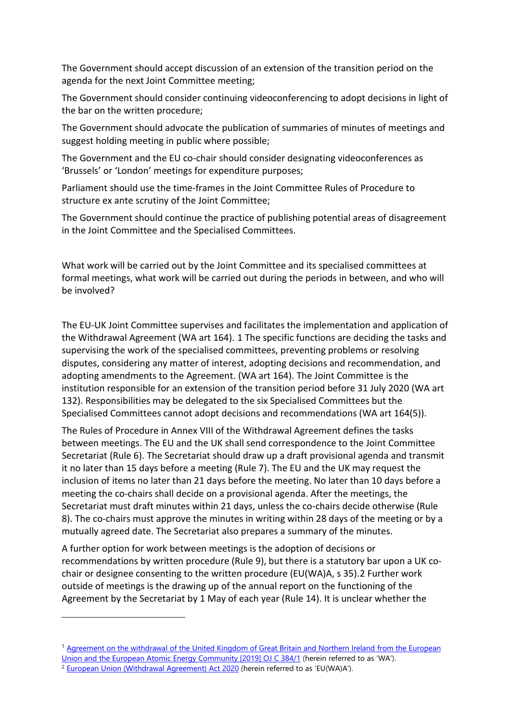The Government should accept discussion of an extension of the transition period on the agenda for the next Joint Committee meeting;

The Government should consider continuing videoconferencing to adopt decisions in light of the bar on the written procedure;

The Government should advocate the publication of summaries of minutes of meetings and suggest holding meeting in public where possible;

The Government and the EU co-chair should consider designating videoconferences as 'Brussels' or 'London' meetings for expenditure purposes;

Parliament should use the time-frames in the Joint Committee Rules of Procedure to structure ex ante scrutiny of the Joint Committee;

The Government should continue the practice of publishing potential areas of disagreement in the Joint Committee and the Specialised Committees.

What work will be carried out by the Joint Committee and its specialised committees at formal meetings, what work will be carried out during the periods in between, and who will be involved?

The EU-UK Joint Committee supervises and facilitates the implementation and application of the Withdrawal Agreement (WA art 164). [1](#page-1-0) The specific functions are deciding the tasks and supervising the work of the specialised committees, preventing problems or resolving disputes, considering any matter of interest, adopting decisions and recommendation, and adopting amendments to the Agreement. (WA art 164). The Joint Committee is the institution responsible for an extension of the transition period before 31 July 2020 (WA art 132). Responsibilities may be delegated to the six Specialised Committees but the Specialised Committees cannot adopt decisions and recommendations (WA art 164(5)).

The Rules of Procedure in Annex VIII of the Withdrawal Agreement defines the tasks between meetings. The EU and the UK shall send correspondence to the Joint Committee Secretariat (Rule 6). The Secretariat should draw up a draft provisional agenda and transmit it no later than 15 days before a meeting (Rule 7). The EU and the UK may request the inclusion of items no later than 21 days before the meeting. No later than 10 days before a meeting the co-chairs shall decide on a provisional agenda. After the meetings, the Secretariat must draft minutes within 21 days, unless the co-chairs decide otherwise (Rule 8). The co-chairs must approve the minutes in writing within 28 days of the meeting or by a mutually agreed date. The Secretariat also prepares a summary of the minutes.

A further option for work between meetings is the adoption of decisions or recommendations by written procedure (Rule 9), but there is a statutory bar upon a UK cochair or designee consenting to the written procedure (EU(WA)A, s 35).[2](#page-1-1) Further work outside of meetings is the drawing up of the annual report on the functioning of the Agreement by the Secretariat by 1 May of each year (Rule 14). It is unclear whether the

<span id="page-1-0"></span><sup>1</sup> [Agreement on the withdrawal of the United Kingdom of Great Britain and Northern Ireland from the European](https://eur-lex.europa.eu/legal-content/EN/TXT/?qid=1580206007232&uri=CELEX%3A12019W/TXT%2802%29)  [Union and the European Atomic Energy Community \[2019\] OJ C 384/1](https://eur-lex.europa.eu/legal-content/EN/TXT/?qid=1580206007232&uri=CELEX%3A12019W/TXT%2802%29) (herein referred to as 'WA').

<span id="page-1-1"></span><sup>&</sup>lt;sup>2</sup> [European Union \(Withdrawal Agreement\) Act 2020](http://www.legislation.gov.uk/ukpga/2020/1/introduction/enacted) (herein referred to as 'EU(WA)A').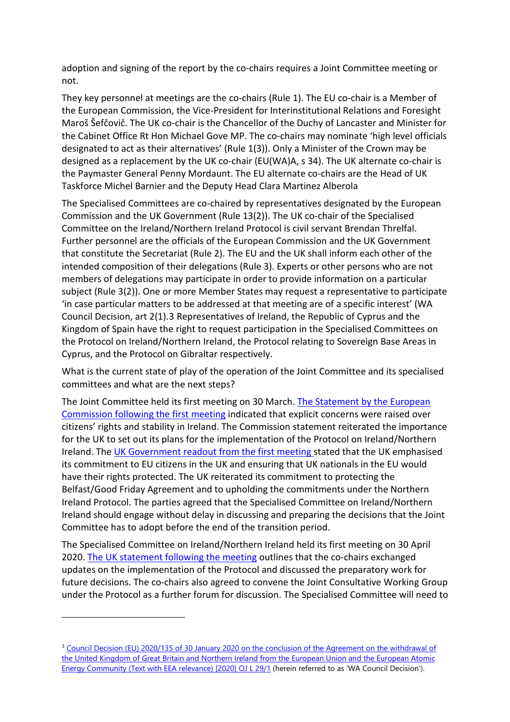adoption and signing of the report by the co-chairs requires a Joint Committee meeting or not.

They key personnel at meetings are the co-chairs (Rule 1). The EU co-chair is a Member of the European Commission, the Vice-President for Interinstitutional Relations and Foresight Maroš Šefčovič. The UK co-chair is the Chancellor of the Duchy of Lancaster and Minister for the Cabinet Office Rt Hon Michael Gove MP. The co-chairs may nominate 'high level officials designated to act as their alternatives' (Rule 1(3)). Only a Minister of the Crown may be designed as a replacement by the UK co-chair (EU(WA)A, s 34). The UK alternate co-chair is the Paymaster General Penny Mordaunt. The EU alternate co-chairs are the Head of UK Taskforce Michel Barnier and the Deputy Head Clara Martinez Alberola

The Specialised Committees are co-chaired by representatives designated by the European Commission and the UK Government (Rule 13(2)). The UK co-chair of the Specialised Committee on the Ireland/Northern Ireland Protocol is civil servant Brendan Threlfal. Further personnel are the officials of the European Commission and the UK Government that constitute the Secretariat (Rule 2). The EU and the UK shall inform each other of the intended composition of their delegations (Rule 3). Experts or other persons who are not members of delegations may participate in order to provide information on a particular subject (Rule 3(2)). One or more Member States may request a representative to participate 'in case particular matters to be addressed at that meeting are of a specific interest' (WA Council Decision, art 2(1).[3](#page-2-0) Representatives of Ireland, the Republic of Cyprus and the Kingdom of Spain have the right to request participation in the Specialised Committees on the Protocol on Ireland/Northern Ireland, the Protocol relating to Sovereign Base Areas in Cyprus, and the Protocol on Gibraltar respectively.

What is the current state of play of the operation of the Joint Committee and its specialised committees and what are the next steps?

The Joint Committee held its first meeting on 30 March. [The Statement by the European](https://ec.europa.eu/commission/presscorner/detail/en/statement_20_565)  [Commission following the first meeting](https://ec.europa.eu/commission/presscorner/detail/en/statement_20_565) indicated that explicit concerns were raised over citizens' rights and stability in Ireland. The Commission statement reiterated the importance for the UK to set out its plans for the implementation of the Protocol on Ireland/Northern Ireland. The [UK Government readout from the first meeting s](https://www.gov.uk/government/news/first-meeting-of-the-withdrawal-agreement-joint-committee)tated that the UK emphasised its commitment to EU citizens in the UK and ensuring that UK nationals in the EU would have their rights protected. The UK reiterated its commitment to protecting the Belfast/Good Friday Agreement and to upholding the commitments under the Northern Ireland Protocol. The parties agreed that the Specialised Committee on Ireland/Northern Ireland should engage without delay in discussing and preparing the decisions that the Joint Committee has to adopt before the end of the transition period.

The Specialised Committee on Ireland/Northern Ireland held its first meeting on 30 April 2020. [The UK statement following the meeting](https://www.gov.uk/government/news/irelandnorthern-ireland-specialised-committee-30-april-2020-uk-post-meeting-statement) outlines that the co-chairs exchanged updates on the implementation of the Protocol and discussed the preparatory work for future decisions. The co-chairs also agreed to convene the Joint Consultative Working Group under the Protocol as a further forum for discussion. The Specialised Committee will need to

<span id="page-2-0"></span><sup>&</sup>lt;sup>3</sup> Council Decision (EU) 2020/135 of 30 January 2020 on the conclusion of the Agreement on the withdrawal of [the United Kingdom of Great Britain and Northern Ireland from the European Union and the European Atomic](https://eur-lex.europa.eu/legal-content/EN/TXT/?uri=CELEX%3A32020D0135)  [Energy Community \(Text with EEA relevance\) \[2020\] OJ L 29/1](https://eur-lex.europa.eu/legal-content/EN/TXT/?uri=CELEX%3A32020D0135) (herein referred to as 'WA Council Decision').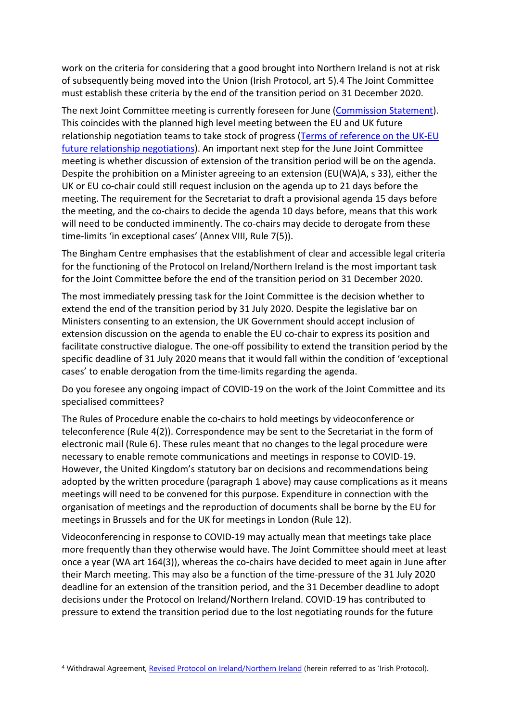work on the criteria for considering that a good brought into Northern Ireland is not at risk of subsequently being moved into the Union (Irish Protocol, art 5).[4](#page-3-0) The Joint Committee must establish these criteria by the end of the transition period on 31 December 2020.

The next Joint Committee meeting is currently foreseen for June [\(Commission Statement\)](https://ec.europa.eu/commission/presscorner/detail/en/statement_20_565). This coincides with the planned high level meeting between the EU and UK future relationship negotiation teams to take stock of progress [\(Terms of reference on the UK-EU](https://ec.europa.eu/info/sites/info/files/terms-of-reference-eu-uk-future-relationship.pdf)  [future relationship negotiations\)](https://ec.europa.eu/info/sites/info/files/terms-of-reference-eu-uk-future-relationship.pdf). An important next step for the June Joint Committee meeting is whether discussion of extension of the transition period will be on the agenda. Despite the prohibition on a Minister agreeing to an extension (EU(WA)A, s 33), either the UK or EU co-chair could still request inclusion on the agenda up to 21 days before the meeting. The requirement for the Secretariat to draft a provisional agenda 15 days before the meeting, and the co-chairs to decide the agenda 10 days before, means that this work will need to be conducted imminently. The co-chairs may decide to derogate from these time-limits 'in exceptional cases' (Annex VIII, Rule 7(5)).

The Bingham Centre emphasises that the establishment of clear and accessible legal criteria for the functioning of the Protocol on Ireland/Northern Ireland is the most important task for the Joint Committee before the end of the transition period on 31 December 2020.

The most immediately pressing task for the Joint Committee is the decision whether to extend the end of the transition period by 31 July 2020. Despite the legislative bar on Ministers consenting to an extension, the UK Government should accept inclusion of extension discussion on the agenda to enable the EU co-chair to express its position and facilitate constructive dialogue. The one-off possibility to extend the transition period by the specific deadline of 31 July 2020 means that it would fall within the condition of 'exceptional cases' to enable derogation from the time-limits regarding the agenda.

Do you foresee any ongoing impact of COVID-19 on the work of the Joint Committee and its specialised committees?

The Rules of Procedure enable the co-chairs to hold meetings by videoconference or teleconference (Rule 4(2)). Correspondence may be sent to the Secretariat in the form of electronic mail (Rule 6). These rules meant that no changes to the legal procedure were necessary to enable remote communications and meetings in response to COVID-19. However, the United Kingdom's statutory bar on decisions and recommendations being adopted by the written procedure (paragraph 1 above) may cause complications as it means meetings will need to be convened for this purpose. Expenditure in connection with the organisation of meetings and the reproduction of documents shall be borne by the EU for meetings in Brussels and for the UK for meetings in London (Rule 12).

Videoconferencing in response to COVID-19 may actually mean that meetings take place more frequently than they otherwise would have. The Joint Committee should meet at least once a year (WA art 164(3)), whereas the co-chairs have decided to meet again in June after their March meeting. This may also be a function of the time-pressure of the 31 July 2020 deadline for an extension of the transition period, and the 31 December deadline to adopt decisions under the Protocol on Ireland/Northern Ireland. COVID-19 has contributed to pressure to extend the transition period due to the lost negotiating rounds for the future

<span id="page-3-0"></span><sup>4</sup> Withdrawal Agreement, [Revised Protocol on Ireland/Northern Ireland](https://assets.publishing.service.gov.uk/government/uploads/system/uploads/attachment_data/file/840230/Revised_Protocol_to_the_Withdrawal_Agreement.pdf) (herein referred to as 'Irish Protocol).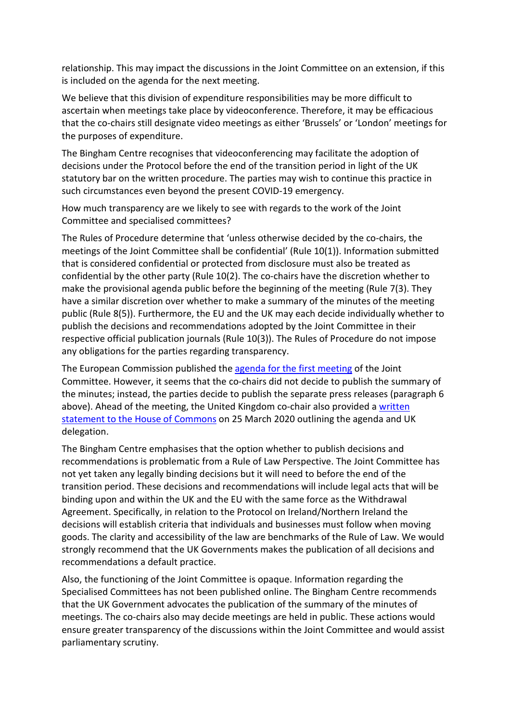relationship. This may impact the discussions in the Joint Committee on an extension, if this is included on the agenda for the next meeting.

We believe that this division of expenditure responsibilities may be more difficult to ascertain when meetings take place by videoconference. Therefore, it may be efficacious that the co-chairs still designate video meetings as either 'Brussels' or 'London' meetings for the purposes of expenditure.

The Bingham Centre recognises that videoconferencing may facilitate the adoption of decisions under the Protocol before the end of the transition period in light of the UK statutory bar on the written procedure. The parties may wish to continue this practice in such circumstances even beyond the present COVID-19 emergency.

How much transparency are we likely to see with regards to the work of the Joint Committee and specialised committees?

The Rules of Procedure determine that 'unless otherwise decided by the co-chairs, the meetings of the Joint Committee shall be confidential' (Rule 10(1)). Information submitted that is considered confidential or protected from disclosure must also be treated as confidential by the other party (Rule 10(2). The co-chairs have the discretion whether to make the provisional agenda public before the beginning of the meeting (Rule 7(3). They have a similar discretion over whether to make a summary of the minutes of the meeting public (Rule 8(5)). Furthermore, the EU and the UK may each decide individually whether to publish the decisions and recommendations adopted by the Joint Committee in their respective official publication journals (Rule 10(3)). The Rules of Procedure do not impose any obligations for the parties regarding transparency.

The European Commission published the [agenda for the first meeting](https://ec.europa.eu/info/sites/info/files/2020-03-30_agenda_jc_final.pdf) of the Joint Committee. However, it seems that the co-chairs did not decide to publish the summary of the minutes; instead, the parties decide to publish the separate press releases (paragraph 6 above). Ahead of the meeting, the United Kingdom co-chair also provided a written [statement to the House of Commons](https://www.parliament.uk/business/publications/written-questions-answers-statements/written-statement/Commons/2020-03-25/HCWS190/) on 25 March 2020 outlining the agenda and UK delegation.

The Bingham Centre emphasises that the option whether to publish decisions and recommendations is problematic from a Rule of Law Perspective. The Joint Committee has not yet taken any legally binding decisions but it will need to before the end of the transition period. These decisions and recommendations will include legal acts that will be binding upon and within the UK and the EU with the same force as the Withdrawal Agreement. Specifically, in relation to the Protocol on Ireland/Northern Ireland the decisions will establish criteria that individuals and businesses must follow when moving goods. The clarity and accessibility of the law are benchmarks of the Rule of Law. We would strongly recommend that the UK Governments makes the publication of all decisions and recommendations a default practice.

Also, the functioning of the Joint Committee is opaque. Information regarding the Specialised Committees has not been published online. The Bingham Centre recommends that the UK Government advocates the publication of the summary of the minutes of meetings. The co-chairs also may decide meetings are held in public. These actions would ensure greater transparency of the discussions within the Joint Committee and would assist parliamentary scrutiny.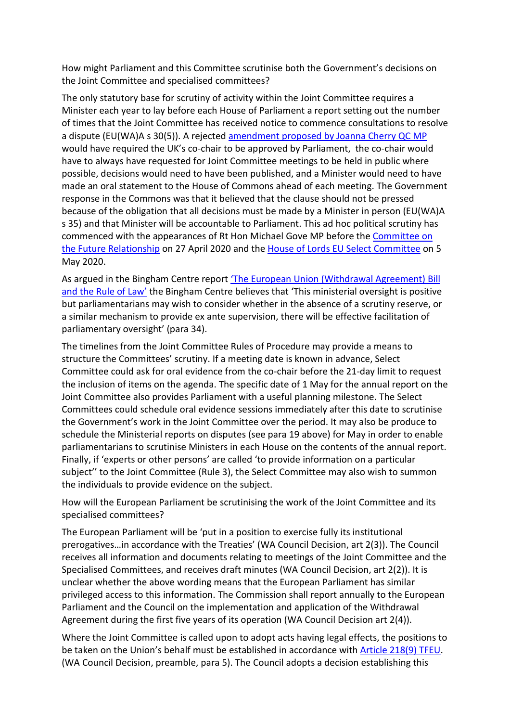How might Parliament and this Committee scrutinise both the Government's decisions on the Joint Committee and specialised committees?

The only statutory base for scrutiny of activity within the Joint Committee requires a Minister each year to lay before each House of Parliament a report setting out the number of times that the Joint Committee has received notice to commence consultations to resolve a dispute (EU(WA)A s 30(5)). A rejected [amendment proposed by Joanna Cherry QC MP](https://hansard.parliament.uk/Commons/2020-01-08/debates/4E741301-D874-401D-BC87-F023AAB86B49/EuropeanUnion(WithdrawalAgreement)Bill?highlight=joint%20committee#contribution-AB63F061-88E3-4FFD-863C-FF14FEA140E0) would have required the UK's co-chair to be approved by Parliament, the co-chair would have to always have requested for Joint Committee meetings to be held in public where possible, decisions would need to have been published, and a Minister would need to have made an oral statement to the House of Commons ahead of each meeting. The Government response in the Commons was that it believed that the clause should not be pressed because of the obligation that all decisions must be made by a Minister in person (EU(WA)A s 35) and that Minister will be accountable to Parliament. This ad hoc political scrutiny has commenced with the appearances of Rt Hon Michael Gove MP before th[e Committee on](https://committees.parliament.uk/oralevidence/313/html/)  [the Future Relationship](https://committees.parliament.uk/oralevidence/313/html/) on 27 April 2020 and the [House of Lords EU Select Committee](https://committees.parliament.uk/oralevidence/344/html/) on 5 May 2020.

As argued in the Bingham Centre report ['The European Union \(Withdrawal Agreement\)](https://binghamcentre.biicl.org/documents/71_the_european_union_withdrawal_agreement_bill_and_the_rule_of_law.pdf) Bill [and the Rule of Law'](https://binghamcentre.biicl.org/documents/71_the_european_union_withdrawal_agreement_bill_and_the_rule_of_law.pdf) the Bingham Centre believes that 'This ministerial oversight is positive but parliamentarians may wish to consider whether in the absence of a scrutiny reserve, or a similar mechanism to provide ex ante supervision, there will be effective facilitation of parliamentary oversight' (para 34).

The timelines from the Joint Committee Rules of Procedure may provide a means to structure the Committees' scrutiny. If a meeting date is known in advance, Select Committee could ask for oral evidence from the co-chair before the 21-day limit to request the inclusion of items on the agenda. The specific date of 1 May for the annual report on the Joint Committee also provides Parliament with a useful planning milestone. The Select Committees could schedule oral evidence sessions immediately after this date to scrutinise the Government's work in the Joint Committee over the period. It may also be produce to schedule the Ministerial reports on disputes (see para 19 above) for May in order to enable parliamentarians to scrutinise Ministers in each House on the contents of the annual report. Finally, if 'experts or other persons' are called 'to provide information on a particular subject'' to the Joint Committee (Rule 3), the Select Committee may also wish to summon the individuals to provide evidence on the subject.

How will the European Parliament be scrutinising the work of the Joint Committee and its specialised committees?

The European Parliament will be 'put in a position to exercise fully its institutional prerogatives…in accordance with the Treaties' (WA Council Decision, art 2(3)). The Council receives all information and documents relating to meetings of the Joint Committee and the Specialised Committees, and receives draft minutes (WA Council Decision, art 2(2)). It is unclear whether the above wording means that the European Parliament has similar privileged access to this information. The Commission shall report annually to the European Parliament and the Council on the implementation and application of the Withdrawal Agreement during the first five years of its operation (WA Council Decision art 2(4)).

Where the Joint Committee is called upon to adopt acts having legal effects, the positions to be taken on the Union's behalf must be established in accordance with [Article 218\(9\) TFEU.](https://eur-lex.europa.eu/legal-content/EN/TXT/?uri=CELEX%3A12008E218) (WA Council Decision, preamble, para 5). The Council adopts a decision establishing this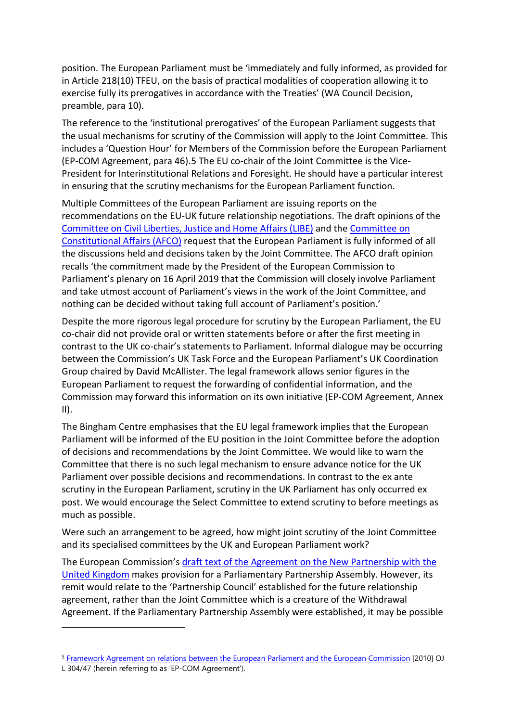position. The European Parliament must be 'immediately and fully informed, as provided for in Article 218(10) TFEU, on the basis of practical modalities of cooperation allowing it to exercise fully its prerogatives in accordance with the Treaties' (WA Council Decision, preamble, para 10).

The reference to the 'institutional prerogatives' of the European Parliament suggests that the usual mechanisms for scrutiny of the Commission will apply to the Joint Committee. This includes a 'Question Hour' for Members of the Commission before the European Parliament (EP-COM Agreement, para 46).[5](#page-6-0) The EU co-chair of the Joint Committee is the Vice-President for Interinstitutional Relations and Foresight. He should have a particular interest in ensuring that the scrutiny mechanisms for the European Parliament function.

Multiple Committees of the European Parliament are issuing reports on the recommendations on the EU-UK future relationship negotiations. The draft opinions of the [Committee on Civil Liberties, Justice and Home Affairs \(LIBE\)](https://www.europarl.europa.eu/doceo/document/LIBE-PA-650591_EN.pdf) and the [Committee on](https://www.europarl.europa.eu/doceo/document/AFCO-PA-648463_EN.pdf)  [Constitutional Affairs \(AFCO\)](https://www.europarl.europa.eu/doceo/document/AFCO-PA-648463_EN.pdf) request that the European Parliament is fully informed of all the discussions held and decisions taken by the Joint Committee. The AFCO draft opinion recalls 'the commitment made by the President of the European Commission to Parliament's plenary on 16 April 2019 that the Commission will closely involve Parliament and take utmost account of Parliament's views in the work of the Joint Committee, and nothing can be decided without taking full account of Parliament's position.'

Despite the more rigorous legal procedure for scrutiny by the European Parliament, the EU co-chair did not provide oral or written statements before or after the first meeting in contrast to the UK co-chair's statements to Parliament. Informal dialogue may be occurring between the Commission's UK Task Force and the European Parliament's UK Coordination Group chaired by David McAllister. The legal framework allows senior figures in the European Parliament to request the forwarding of confidential information, and the Commission may forward this information on its own initiative (EP-COM Agreement, Annex  $II$ ).

The Bingham Centre emphasises that the EU legal framework implies that the European Parliament will be informed of the EU position in the Joint Committee before the adoption of decisions and recommendations by the Joint Committee. We would like to warn the Committee that there is no such legal mechanism to ensure advance notice for the UK Parliament over possible decisions and recommendations. In contrast to the ex ante scrutiny in the European Parliament, scrutiny in the UK Parliament has only occurred ex post. We would encourage the Select Committee to extend scrutiny to before meetings as much as possible.

Were such an arrangement to be agreed, how might joint scrutiny of the Joint Committee and its specialised committees by the UK and European Parliament work?

The European Commission's [draft text of the Agreement on the New Partnership with the](https://ec.europa.eu/info/sites/info/files/200318-draft-agreement-gen.pdf)  [United Kingdom](https://ec.europa.eu/info/sites/info/files/200318-draft-agreement-gen.pdf) makes provision for a Parliamentary Partnership Assembly. However, its remit would relate to the 'Partnership Council' established for the future relationship agreement, rather than the Joint Committee which is a creature of the Withdrawal Agreement. If the Parliamentary Partnership Assembly were established, it may be possible

<span id="page-6-0"></span><sup>5</sup> [Framework Agreement on relations between the European Parliament and the European Commission](https://eur-lex.europa.eu/legal-content/EN/TXT/?uri=celex:32010Q1120(01)) [2010] OJ L 304/47 (herein referring to as 'EP-COM Agreement').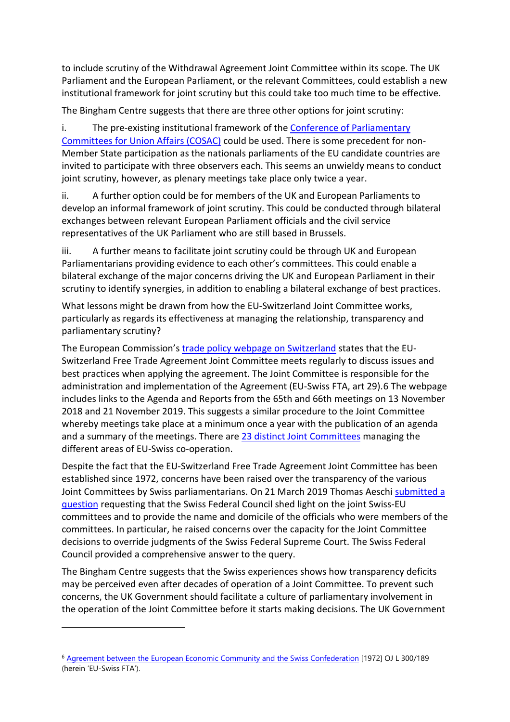to include scrutiny of the Withdrawal Agreement Joint Committee within its scope. The UK Parliament and the European Parliament, or the relevant Committees, could establish a new institutional framework for joint scrutiny but this could take too much time to be effective.

The Bingham Centre suggests that there are three other options for joint scrutiny:

i. The pre-existing institutional framework of th[e Conference of Parliamentary](https://www.europarl.europa.eu/relnatparl/en/high-level-conferences/cosac.html) [Committees for Union Affairs \(COSAC\)](https://www.europarl.europa.eu/relnatparl/en/high-level-conferences/cosac.html) could be used. There is some precedent for non-Member State participation as the nationals parliaments of the EU candidate countries are invited to participate with three observers each. This seems an unwieldy means to conduct joint scrutiny, however, as plenary meetings take place only twice a year.

ii. A further option could be for members of the UK and European Parliaments to develop an informal framework of joint scrutiny. This could be conducted through bilateral exchanges between relevant European Parliament officials and the civil service representatives of the UK Parliament who are still based in Brussels.

iii. A further means to facilitate joint scrutiny could be through UK and European Parliamentarians providing evidence to each other's committees. This could enable a bilateral exchange of the major concerns driving the UK and European Parliament in their scrutiny to identify synergies, in addition to enabling a bilateral exchange of best practices.

What lessons might be drawn from how the EU-Switzerland Joint Committee works, particularly as regards its effectiveness at managing the relationship, transparency and parliamentary scrutiny?

The European Commission's [trade policy webpage on Switzerland](https://ec.europa.eu/trade/policy/countries-and-regions/countries/switzerland/index_en.htm) states that the EU-Switzerland Free Trade Agreement Joint Committee meets regularly to discuss issues and best practices when applying the agreement. The Joint Committee is responsible for the administration and implementation of the Agreement (EU-Swiss FTA, art 29).[6](#page-7-0) The webpage includes links to the Agenda and Reports from the 65th and 66th meetings on 13 November 2018 and 21 November 2019. This suggests a similar procedure to the Joint Committee whereby meetings take place at a minimum once a year with the publication of an agenda and a summary of the meetings. There are [23 distinct Joint Committees](https://www.eda.admin.ch/dam/dea/fr/documents/publikationen_dea/cm-liste_fr.pdf) managing the different areas of EU-Swiss co-operation.

Despite the fact that the EU-Switzerland Free Trade Agreement Joint Committee has been established since 1972, concerns have been raised over the transparency of the various Joint Committees by Swiss parliamentarians. On 21 March 2019 Thomas Aeschi submitted a [question](https://www.parlament.ch/en/ratsbetrieb/suche-curia-vista/geschaeft?AffairId=20193212) requesting that the Swiss Federal Council shed light on the joint Swiss-EU committees and to provide the name and domicile of the officials who were members of the committees. In particular, he raised concerns over the capacity for the Joint Committee decisions to override judgments of the Swiss Federal Supreme Court. The Swiss Federal Council provided a comprehensive answer to the query.

The Bingham Centre suggests that the Swiss experiences shows how transparency deficits may be perceived even after decades of operation of a Joint Committee. To prevent such concerns, the UK Government should facilitate a culture of parliamentary involvement in the operation of the Joint Committee before it starts making decisions. The UK Government

<span id="page-7-0"></span><sup>6</sup> [Agreement between the European Economic Community and the Swiss Confederation](https://eur-lex.europa.eu/legal-content/EN/TXT/?uri=CELEX%3A21972A0722%2803%29) [1972] OJ L 300/189 (herein 'EU-Swiss FTA').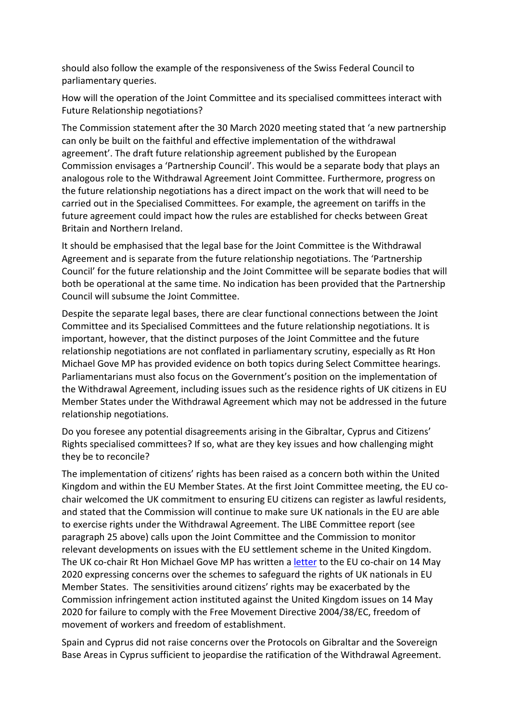should also follow the example of the responsiveness of the Swiss Federal Council to parliamentary queries.

How will the operation of the Joint Committee and its specialised committees interact with Future Relationship negotiations?

The Commission statement after the 30 March 2020 meeting stated that 'a new partnership can only be built on the faithful and effective implementation of the withdrawal agreement'. The draft future relationship agreement published by the European Commission envisages a 'Partnership Council'. This would be a separate body that plays an analogous role to the Withdrawal Agreement Joint Committee. Furthermore, progress on the future relationship negotiations has a direct impact on the work that will need to be carried out in the Specialised Committees. For example, the agreement on tariffs in the future agreement could impact how the rules are established for checks between Great Britain and Northern Ireland.

It should be emphasised that the legal base for the Joint Committee is the Withdrawal Agreement and is separate from the future relationship negotiations. The 'Partnership Council' for the future relationship and the Joint Committee will be separate bodies that will both be operational at the same time. No indication has been provided that the Partnership Council will subsume the Joint Committee.

Despite the separate legal bases, there are clear functional connections between the Joint Committee and its Specialised Committees and the future relationship negotiations. It is important, however, that the distinct purposes of the Joint Committee and the future relationship negotiations are not conflated in parliamentary scrutiny, especially as Rt Hon Michael Gove MP has provided evidence on both topics during Select Committee hearings. Parliamentarians must also focus on the Government's position on the implementation of the Withdrawal Agreement, including issues such as the residence rights of UK citizens in EU Member States under the Withdrawal Agreement which may not be addressed in the future relationship negotiations.

Do you foresee any potential disagreements arising in the Gibraltar, Cyprus and Citizens' Rights specialised committees? If so, what are they key issues and how challenging might they be to reconcile?

The implementation of citizens' rights has been raised as a concern both within the United Kingdom and within the EU Member States. At the first Joint Committee meeting, the EU cochair welcomed the UK commitment to ensuring EU citizens can register as lawful residents, and stated that the Commission will continue to make sure UK nationals in the EU are able to exercise rights under the Withdrawal Agreement. The LIBE Committee report (see paragraph 25 above) calls upon the Joint Committee and the Commission to monitor relevant developments on issues with the EU settlement scheme in the United Kingdom. The UK co-chair Rt Hon Michael Gove MP has written [a letter](https://assets.publishing.service.gov.uk/government/uploads/system/uploads/attachment_data/file/885252/200514_Letter_from_Rt_Hon_Michael_Gove_MP_to_VP_Sefcovic.pdf) to the EU co-chair on 14 May 2020 expressing concerns over the schemes to safeguard the rights of UK nationals in EU Member States. The sensitivities around citizens' rights may be exacerbated by the Commission infringement action instituted against the United Kingdom issues on 14 May 2020 for failure to comply with the Free Movement Directive 2004/38/EC, freedom of movement of workers and freedom of establishment.

Spain and Cyprus did not raise concerns over the Protocols on Gibraltar and the Sovereign Base Areas in Cyprus sufficient to jeopardise the ratification of the Withdrawal Agreement.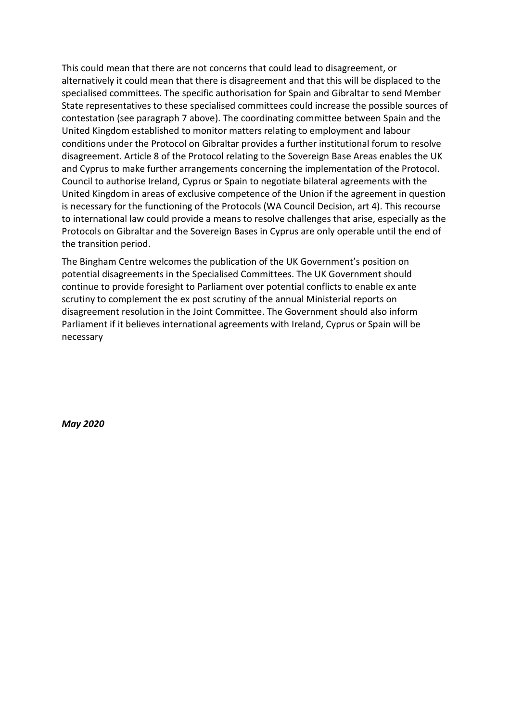This could mean that there are not concerns that could lead to disagreement, or alternatively it could mean that there is disagreement and that this will be displaced to the specialised committees. The specific authorisation for Spain and Gibraltar to send Member State representatives to these specialised committees could increase the possible sources of contestation (see paragraph 7 above). The coordinating committee between Spain and the United Kingdom established to monitor matters relating to employment and labour conditions under the Protocol on Gibraltar provides a further institutional forum to resolve disagreement. Article 8 of the Protocol relating to the Sovereign Base Areas enables the UK and Cyprus to make further arrangements concerning the implementation of the Protocol. Council to authorise Ireland, Cyprus or Spain to negotiate bilateral agreements with the United Kingdom in areas of exclusive competence of the Union if the agreement in question is necessary for the functioning of the Protocols (WA Council Decision, art 4). This recourse to international law could provide a means to resolve challenges that arise, especially as the Protocols on Gibraltar and the Sovereign Bases in Cyprus are only operable until the end of the transition period.

The Bingham Centre welcomes the publication of the UK Government's position on potential disagreements in the Specialised Committees. The UK Government should continue to provide foresight to Parliament over potential conflicts to enable ex ante scrutiny to complement the ex post scrutiny of the annual Ministerial reports on disagreement resolution in the Joint Committee. The Government should also inform Parliament if it believes international agreements with Ireland, Cyprus or Spain will be necessary

*May 2020*